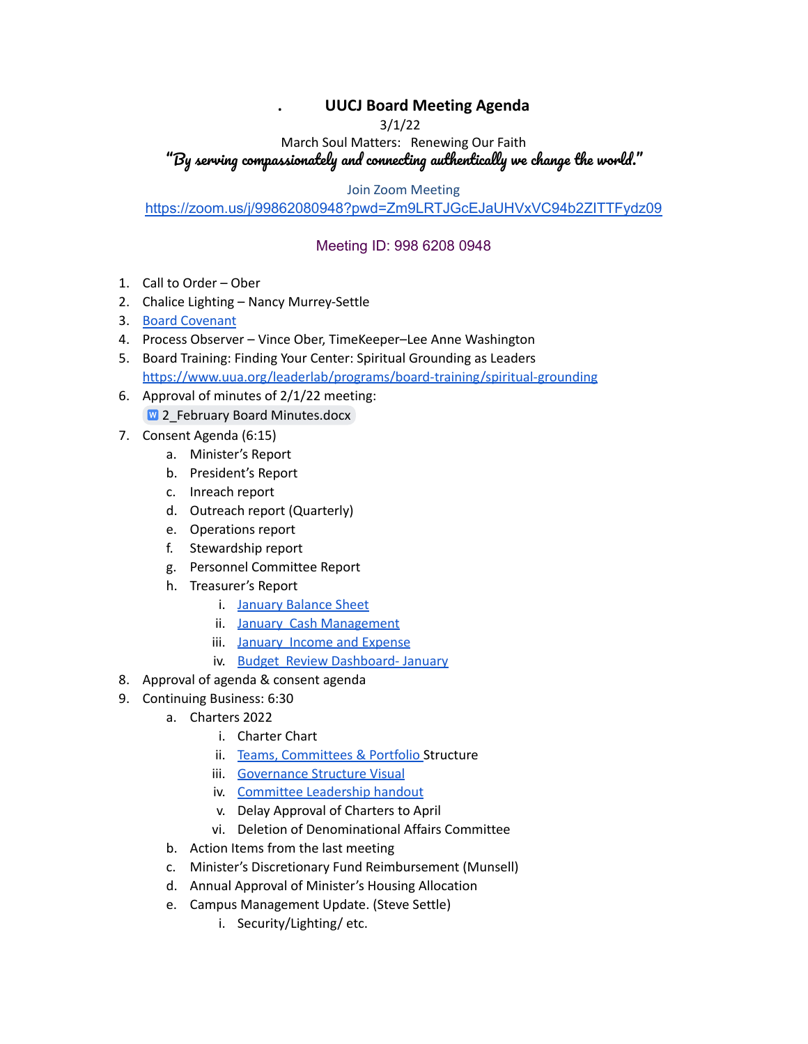## **. UUCJ Board Meeting Agenda**

3/1/22

March Soul Matters: Renewing Our Faith "By serving compassionately and connecting authentically we change the world."

Join Zoom Meeting

<https://zoom.us/j/99862080948?pwd=Zm9LRTJGcEJaUHVxVC94b2ZITTFydz09>

## Meeting ID: 998 6208 0948

- 1. Call to Order Ober
- 2. Chalice Lighting Nancy Murrey-Settle
- 3. Board [Covenant](https://www.uucj.org/governance/board-covenant/)
- 4. Process Observer Vince Ober, TimeKeeper–Lee Anne Washington
- 5. Board Training: Finding Your Center: Spiritual Grounding as Leaders <https://www.uua.org/leaderlab/programs/board-training/spiritual-grounding>
- 6. Approval of minutes of 2/1/22 meeting: W 2 February Board [Minutes.docx](https://docs.google.com/document/d/1rxRm35ufS5b24tXiDrA234Aes9FzJT7Z/edit?usp=sharing&ouid=108618410980892576551&rtpof=true&sd=true)
- 7. Consent Agenda (6:15)
	- a. Minister's Report
	- b. President's Report
	- c. Inreach report
	- d. Outreach report (Quarterly)
	- e. Operations report
	- f. Stewardship report
	- g. Personnel Committee Report
	- h. Treasurer's Report
		- i. January [Balance](https://docs.google.com/document/d/1rxRm35ufS5b24tXiDrA234Aes9FzJT7Z/edit?usp=sharing&ouid=108618410980892576551&rtpof=true&sd=true) Sheet
		- ii. January Cash [Management](https://drive.google.com/file/d/1-GKWHSmZe55pQJj4lgBMkyvgVIZEuYSb/view?usp=sharing)
		- iii. January Income and [Expense](https://drive.google.com/file/d/1jdwTw89NTX04EP_qXi3UXPEJG9Xr1FfR/view?usp=sharing)
		- iv. Budget Review [Dashboard-](https://docs.google.com/spreadsheets/d/1dONYneoYlxvWcVnzDznMQmvBUxLjPG7R/edit?usp=sharing&ouid=108618410980892576551&rtpof=true&sd=true) January
- 8. Approval of agenda & consent agenda
- 9. Continuing Business: 6:30
	- a. Charters 2022
		- i. Charter Chart
		- ii. Teams, [Committees](https://docs.google.com/document/d/1GPNu-HqlnXPj7mcvrwWnVCiapNJ3gA30/edit?usp=sharing&ouid=108618410980892576551&rtpof=true&sd=true) & Portfolio Structure
		- iii. [Governance](https://drive.google.com/file/d/1_YGmErkeVCb_Sb9xkKSM9ME6ImmyGom_/view?usp=sharing) Structure Visual
		- iv. [Committee](https://docs.google.com/document/d/1DxK5fbGQb4my1lTRoNqZKWZBOieourZK/edit?usp=sharing&ouid=108618410980892576551&rtpof=true&sd=true) Leadership handout
		- v. Delay Approval of Charters to April
		- vi. Deletion of Denominational Affairs Committee
	- b. Action Items from the last meeting
	- c. Minister's Discretionary Fund Reimbursement (Munsell)
	- d. Annual Approval of Minister's Housing Allocation
	- e. Campus Management Update. (Steve Settle)
		- i. Security/Lighting/ etc.